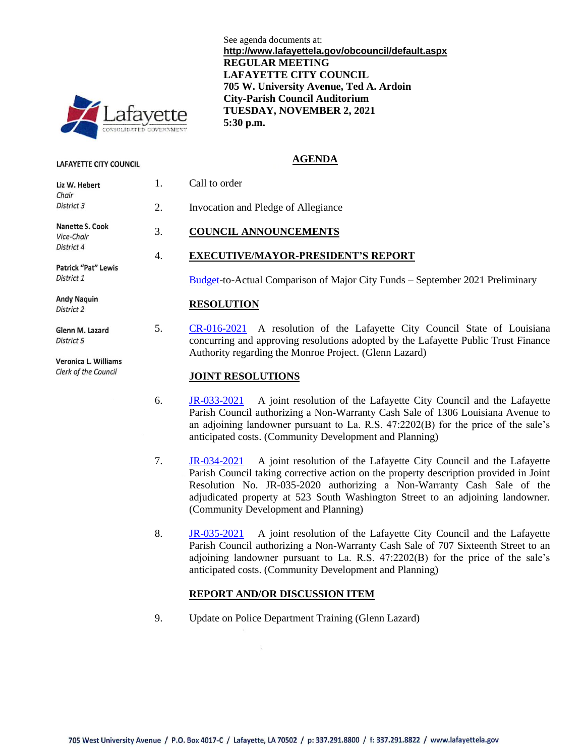

**LAFAYETTE CITY COUNCIL** 

1. Call to order Liz W. Hebert Chair District 3 **Nanette S. Cook** Vice-Chair District 4 Patrick "Pat" Lewis District 1 **Andy Naquin RESOLUTION** District 2 Glenn M. Lazard District 5

Veronica L. Williams Clerk of the Council

See agenda documents at: **http://www.lafayettela.gov/obcouncil/default.aspx REGULAR MEETING LAFAYETTE CITY COUNCIL 705 W. University Avenue, Ted A. Ardoin City-Parish Council Auditorium TUESDAY, NOVEMBER 2, 2021 5:30 p.m.**

#### **AGENDA**

2. Invocation and Pledge of Allegiance

# 3. **COUNCIL ANNOUNCEMENTS**

## 4. **EXECUTIVE/MAYOR-PRESIDENT'S REPORT**

[Budget-](http://apps.lafayettela.gov/OBCouncil/ViewDocument.aspx?docID=2055361)to-Actual Comparison of Major City Funds – September 2021 Preliminary

5. [CR-016-2021](http://apps.lafayettela.gov/OBCouncil/ViewDocument.aspx?docID=2055363) A resolution of the Lafayette City Council State of Louisiana concurring and approving resolutions adopted by the Lafayette Public Trust Finance Authority regarding the Monroe Project. (Glenn Lazard)

#### **JOINT RESOLUTIONS**

- 6. [JR-033-2021](http://apps.lafayettela.gov/OBCouncil/ViewDocument.aspx?docID=2055369) A joint resolution of the Lafayette City Council and the Lafayette Parish Council authorizing a Non-Warranty Cash Sale of 1306 Louisiana Avenue to an adjoining landowner pursuant to La. R.S. 47:2202(B) for the price of the sale's anticipated costs. (Community Development and Planning)
- 7. [JR-034-2021](http://apps.lafayettela.gov/OBCouncil/ViewDocument.aspx?docID=2055365) A joint resolution of the Lafayette City Council and the Lafayette Parish Council taking corrective action on the property description provided in Joint Resolution No. JR-035-2020 authorizing a Non-Warranty Cash Sale of the adjudicated property at 523 South Washington Street to an adjoining landowner. (Community Development and Planning)
- 8. [JR-035-2021](http://apps.lafayettela.gov/OBCouncil/ViewDocument.aspx?docID=2055366) A joint resolution of the Lafayette City Council and the Lafayette Parish Council authorizing a Non-Warranty Cash Sale of 707 Sixteenth Street to an adjoining landowner pursuant to La. R.S.  $47:2202(B)$  for the price of the sale's anticipated costs. (Community Development and Planning)

## **REPORT AND/OR DISCUSSION ITEM**

9. Update on Police Department Training (Glenn Lazard)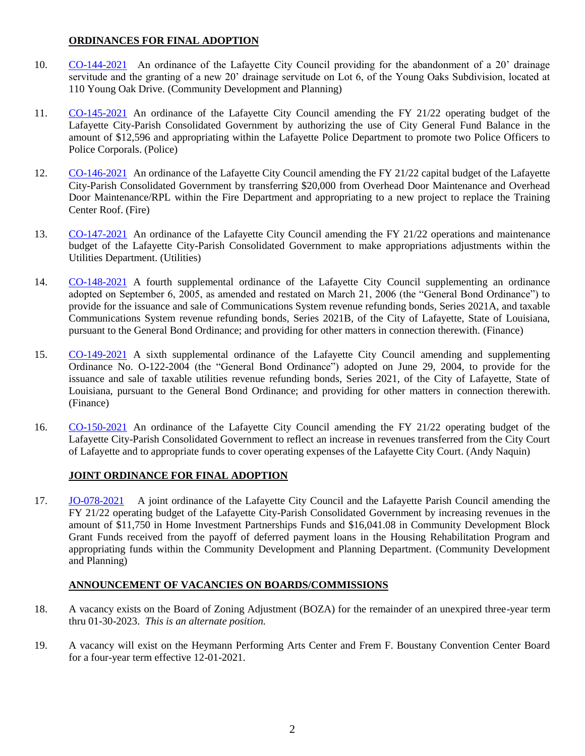#### **ORDINANCES FOR FINAL ADOPTION**

- 10. [CO-144-2021](http://apps.lafayettela.gov/OBCouncil/ViewDocument.aspx?docID=2055379) An ordinance of the Lafayette City Council providing for the abandonment of a 20' drainage servitude and the granting of a new 20' drainage servitude on Lot 6, of the Young Oaks Subdivision, located at 110 Young Oak Drive. (Community Development and Planning)
- 11. [CO-145-2021](http://apps.lafayettela.gov/OBCouncil/ViewDocument.aspx?docID=2055380) An ordinance of the Lafayette City Council amending the FY 21/22 operating budget of the Lafayette City-Parish Consolidated Government by authorizing the use of City General Fund Balance in the amount of \$12,596 and appropriating within the Lafayette Police Department to promote two Police Officers to Police Corporals. (Police)
- 12. [CO-146-2021](http://apps.lafayettela.gov/OBCouncil/ViewDocument.aspx?docID=2055382) An ordinance of the Lafayette City Council amending the FY 21/22 capital budget of the Lafayette City-Parish Consolidated Government by transferring \$20,000 from Overhead Door Maintenance and Overhead Door Maintenance/RPL within the Fire Department and appropriating to a new project to replace the Training Center Roof. (Fire)
- 13. [CO-147-2021](http://apps.lafayettela.gov/OBCouncil/ViewDocument.aspx?docID=2055371) An ordinance of the Lafayette City Council amending the FY 21/22 operations and maintenance budget of the Lafayette City-Parish Consolidated Government to make appropriations adjustments within the Utilities Department. (Utilities)
- 14. [CO-148-2021](http://apps.lafayettela.gov/OBCouncil/ViewDocument.aspx?docID=2055372) A fourth supplemental ordinance of the Lafayette City Council supplementing an ordinance adopted on September 6, 2005, as amended and restated on March 21, 2006 (the "General Bond Ordinance") to provide for the issuance and sale of Communications System revenue refunding bonds, Series 2021A, and taxable Communications System revenue refunding bonds, Series 2021B, of the City of Lafayette, State of Louisiana, pursuant to the General Bond Ordinance; and providing for other matters in connection therewith. (Finance)
- 15. [CO-149-2021](http://apps.lafayettela.gov/OBCouncil/ViewDocument.aspx?docID=2055375) A sixth supplemental ordinance of the Lafayette City Council amending and supplementing Ordinance No. O-122-2004 (the "General Bond Ordinance") adopted on June 29, 2004, to provide for the issuance and sale of taxable utilities revenue refunding bonds, Series 2021, of the City of Lafayette, State of Louisiana, pursuant to the General Bond Ordinance; and providing for other matters in connection therewith. (Finance)
- 16. [CO-150-2021](http://apps.lafayettela.gov/OBCouncil/ViewDocument.aspx?docID=2055377) An ordinance of the Lafayette City Council amending the FY 21/22 operating budget of the Lafayette City-Parish Consolidated Government to reflect an increase in revenues transferred from the City Court of Lafayette and to appropriate funds to cover operating expenses of the Lafayette City Court. (Andy Naquin)

## **JOINT ORDINANCE FOR FINAL ADOPTION**

17. [JO-078-2021](http://apps.lafayettela.gov/OBCouncil/ViewDocument.aspx?docID=2055386) A joint ordinance of the Lafayette City Council and the Lafayette Parish Council amending the FY 21/22 operating budget of the Lafayette City-Parish Consolidated Government by increasing revenues in the amount of \$11,750 in Home Investment Partnerships Funds and \$16,041.08 in Community Development Block Grant Funds received from the payoff of deferred payment loans in the Housing Rehabilitation Program and appropriating funds within the Community Development and Planning Department. (Community Development and Planning)

## **ANNOUNCEMENT OF VACANCIES ON BOARDS/COMMISSIONS**

- 18. A vacancy exists on the Board of Zoning Adjustment (BOZA) for the remainder of an unexpired three-year term thru 01-30-2023. *This is an alternate position.*
- 19. A vacancy will exist on the Heymann Performing Arts Center and Frem F. Boustany Convention Center Board for a four-year term effective 12-01-2021.